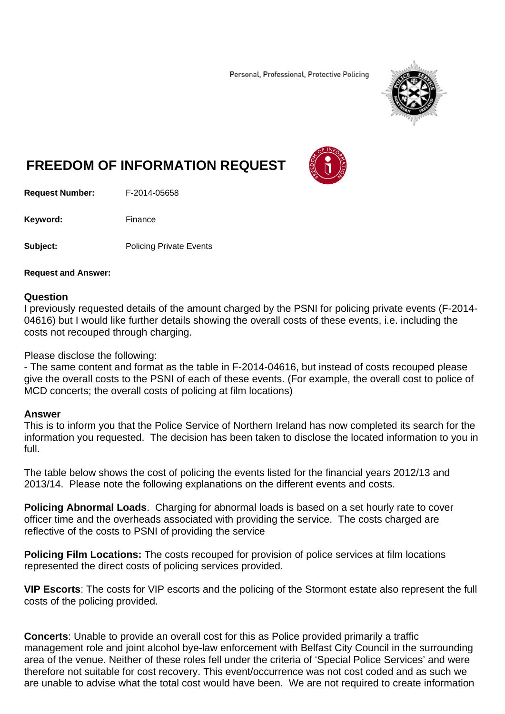Personal, Professional, Protective Policing



## **FREEDOM OF INFORMATION REQUEST**

**Request Number:** F-2014-05658

Keyword: Finance

**Subject:** Policing Private Events

## **Request and Answer:**

## **Question**

I previously requested details of the amount charged by the PSNI for policing private events (F-2014- 04616) but I would like further details showing the overall costs of these events, i.e. including the costs not recouped through charging.

Please disclose the following:

- The same content and format as the table in F-2014-04616, but instead of costs recouped please give the overall costs to the PSNI of each of these events. (For example, the overall cost to police of MCD concerts; the overall costs of policing at film locations)

## **Answer**

This is to inform you that the Police Service of Northern Ireland has now completed its search for the information you requested. The decision has been taken to disclose the located information to you in full.

The table below shows the cost of policing the events listed for the financial years 2012/13 and 2013/14. Please note the following explanations on the different events and costs.

**Policing Abnormal Loads**. Charging for abnormal loads is based on a set hourly rate to cover officer time and the overheads associated with providing the service. The costs charged are reflective of the costs to PSNI of providing the service

**Policing Film Locations:** The costs recouped for provision of police services at film locations represented the direct costs of policing services provided.

**VIP Escorts**: The costs for VIP escorts and the policing of the Stormont estate also represent the full costs of the policing provided.

**Concerts**: Unable to provide an overall cost for this as Police provided primarily a traffic management role and joint alcohol bye-law enforcement with Belfast City Council in the surrounding area of the venue. Neither of these roles fell under the criteria of 'Special Police Services' and were therefore not suitable for cost recovery. This event/occurrence was not cost coded and as such we are unable to advise what the total cost would have been. We are not required to create information